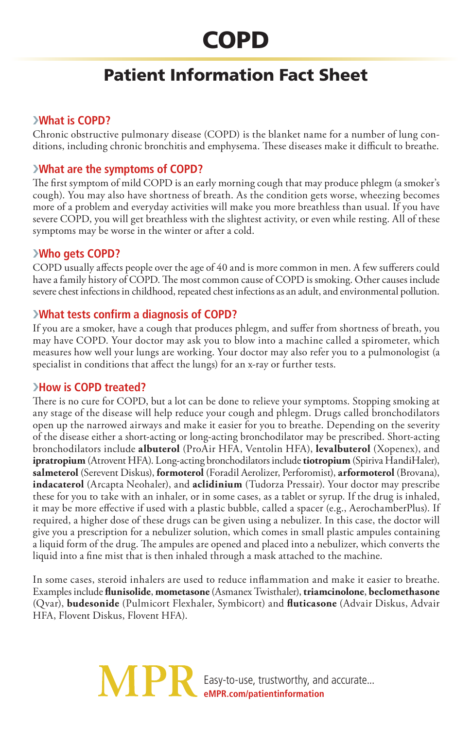# **COPD**

# Patient Information Fact Sheet

# ›**What is COPD?**

Chronic obstructive pulmonary disease (COPD) is the blanket name for a number of lung conditions, including chronic bronchitis and emphysema. These diseases make it difficult to breathe.

### ›**What are the symptoms of COPD?**

The first symptom of mild COPD is an early morning cough that may produce phlegm (a smoker's cough). You may also have shortness of breath. As the condition gets worse, wheezing becomes more of a problem and everyday activities will make you more breathless than usual. If you have severe COPD, you will get breathless with the slightest activity, or even while resting. All of these symptoms may be worse in the winter or after a cold.

#### ›**Who gets COPD?**

COPD usually affects people over the age of 40 and is more common in men. A few sufferers could have a family history of COPD. The most common cause of COPD is smoking. Other causes include severe chest infections in childhood, repeated chest infections as an adult, and environmental pollution.

#### ›**What tests confirm a diagnosis of COPD?**

If you are a smoker, have a cough that produces phlegm, and suffer from shortness of breath, you may have COPD. Your doctor may ask you to blow into a machine called a spirometer, which measures how well your lungs are working. Your doctor may also refer you to a pulmonologist (a specialist in conditions that affect the lungs) for an x-ray or further tests.

#### ›**How is COPD treated?**

There is no cure for COPD, but a lot can be done to relieve your symptoms. Stopping smoking at any stage of the disease will help reduce your cough and phlegm. Drugs called bronchodilators open up the narrowed airways and make it easier for you to breathe. Depending on the severity of the disease either a short-acting or long-acting bronchodilator may be prescribed. Short-acting bronchodilators include **albuterol** (ProAir HFA, Ventolin HFA), **levalbuterol** (Xopenex), and **ipratropium** (Atrovent HFA). Long-acting bronchodilators include **tiotropium** (Spiriva HandiHaler), **salmeterol** (Serevent Diskus), **formoterol** (Foradil Aerolizer, Perforomist), **arformoterol** (Brovana), **indacaterol** (Arcapta Neohaler), and **aclidinium** (Tudorza Pressair). Your doctor may prescribe these for you to take with an inhaler, or in some cases, as a tablet or syrup. If the drug is inhaled, it may be more effective if used with a plastic bubble, called a spacer (e.g., AerochamberPlus). If required, a higher dose of these drugs can be given using a nebulizer. In this case, the doctor will give you a prescription for a nebulizer solution, which comes in small plastic ampules containing a liquid form of the drug. The ampules are opened and placed into a nebulizer, which converts the liquid into a fine mist that is then inhaled through a mask attached to the machine.

In some cases, steroid inhalers are used to reduce inflammation and make it easier to breathe. Examples include **flunisolide**, **mometasone** (Asmanex Twisthaler), **triamcinolone**, **beclomethasone** (Qvar), **budesonide** (Pulmicort Flexhaler, Symbicort) and **fluticasone** (Advair Diskus, Advair HFA, Flovent Diskus, Flovent HFA).

> Easy-to-use, trustworthy, and accurate... **eMPR.com/patientinformation**